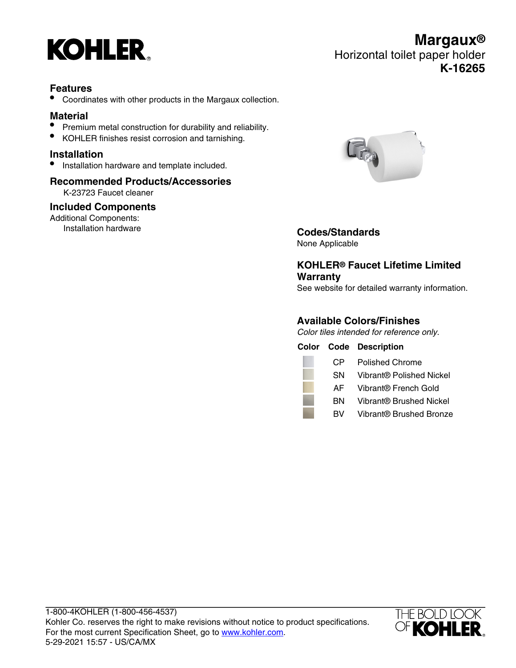

# **Features**

• Coordinates with other products in the Margaux collection.

## **Material**

- Premium metal construction for durability and reliability.
- KOHLER finishes resist corrosion and tarnishing.

### **Installation**

• Installation hardware and template included.

#### **Recommended Products/Accessories** K-23723 Faucet cleaner

#### **Included Components**

Additional Components:<br>Installation hardware



Installation hardware **Codes/Standards**

None Applicable

# **KOHLER® Faucet Lifetime Limited Warranty**

See website for detailed warranty information.

## **Available Colors/Finishes**

Color tiles intended for reference only.

|     | <b>Color Code Description</b> |
|-----|-------------------------------|
| CP. | Polished Chrome               |
| SN  | Vibrant® Polished Nickel      |
| AF. | Vibrant® French Gold          |
| вN  | Vibrant® Brushed Nickel       |
| BV. | Vibrant® Brushed Bronze       |



**Margaux®** Horizontal toilet paper holder **K-16265**